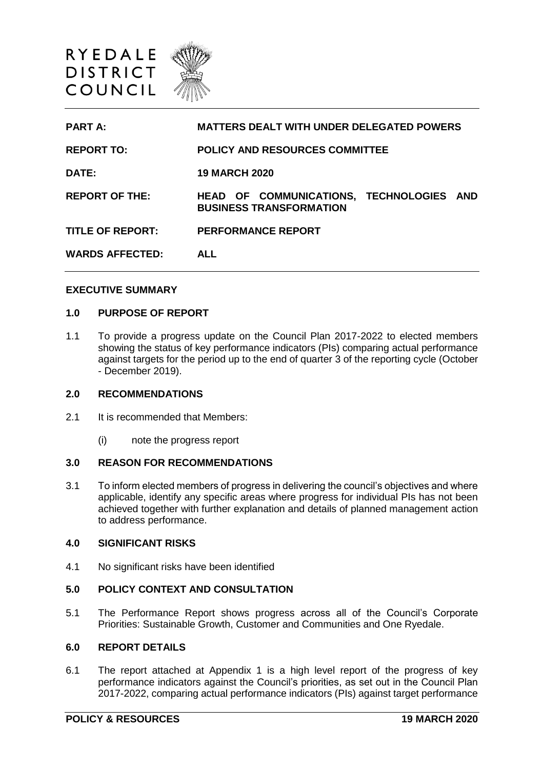

| <b>PART A:</b>          | <b>MATTERS DEALT WITH UNDER DELEGATED POWERS</b>                           |
|-------------------------|----------------------------------------------------------------------------|
| <b>REPORT TO:</b>       | <b>POLICY AND RESOURCES COMMITTEE</b>                                      |
| DATE:                   | <b>19 MARCH 2020</b>                                                       |
| <b>REPORT OF THE:</b>   | HEAD OF COMMUNICATIONS, TECHNOLOGIES AND<br><b>BUSINESS TRANSFORMATION</b> |
| <b>TITLE OF REPORT:</b> | <b>PERFORMANCE REPORT</b>                                                  |
| <b>WARDS AFFECTED:</b>  | <b>ALL</b>                                                                 |

#### **EXECUTIVE SUMMARY**

### **1.0 PURPOSE OF REPORT**

1.1 To provide a progress update on the Council Plan 2017-2022 to elected members showing the status of key performance indicators (PIs) comparing actual performance against targets for the period up to the end of quarter 3 of the reporting cycle (October - December 2019).

#### **2.0 RECOMMENDATIONS**

- 2.1 It is recommended that Members:
	- (i) note the progress report

#### **3.0 REASON FOR RECOMMENDATIONS**

3.1 To inform elected members of progress in delivering the council's objectives and where applicable, identify any specific areas where progress for individual PIs has not been achieved together with further explanation and details of planned management action to address performance.

#### **4.0 SIGNIFICANT RISKS**

4.1 No significant risks have been identified

## **5.0 POLICY CONTEXT AND CONSULTATION**

5.1 The Performance Report shows progress across all of the Council's Corporate Priorities: Sustainable Growth, Customer and Communities and One Ryedale.

## **6.0 REPORT DETAILS**

6.1 The report attached at Appendix 1 is a high level report of the progress of key performance indicators against the Council's priorities, as set out in the Council Plan 2017-2022, comparing actual performance indicators (PIs) against target performance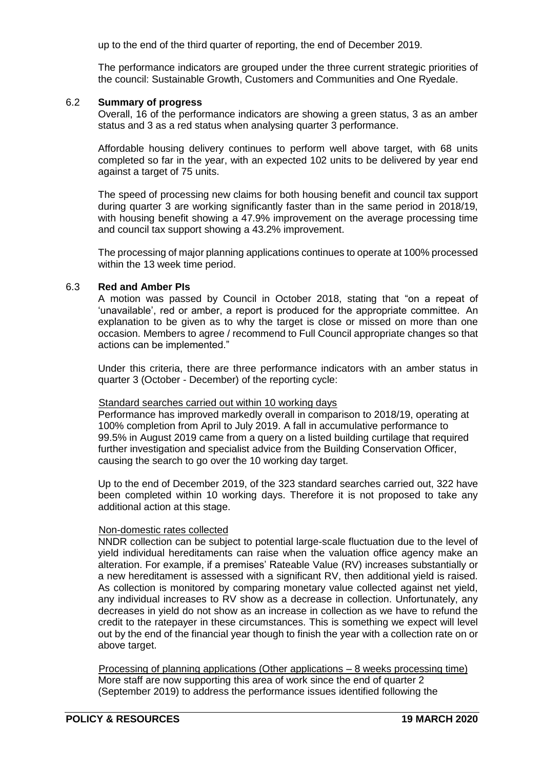up to the end of the third quarter of reporting, the end of December 2019.

The performance indicators are grouped under the three current strategic priorities of the council: Sustainable Growth, Customers and Communities and One Ryedale.

#### 6.2 **Summary of progress**

Overall, 16 of the performance indicators are showing a green status, 3 as an amber status and 3 as a red status when analysing quarter 3 performance.

Affordable housing delivery continues to perform well above target, with 68 units completed so far in the year, with an expected 102 units to be delivered by year end against a target of 75 units.

The speed of processing new claims for both housing benefit and council tax support during quarter 3 are working significantly faster than in the same period in 2018/19, with housing benefit showing a 47.9% improvement on the average processing time and council tax support showing a 43.2% improvement.

The processing of major planning applications continues to operate at 100% processed within the 13 week time period.

# 6.3 **Red and Amber PIs**

A motion was passed by Council in October 2018, stating that "on a repeat of 'unavailable', red or amber, a report is produced for the appropriate committee. An explanation to be given as to why the target is close or missed on more than one occasion. Members to agree / recommend to Full Council appropriate changes so that actions can be implemented."

Under this criteria, there are three performance indicators with an amber status in quarter 3 (October - December) of the reporting cycle:

#### Standard searches carried out within 10 working days

Performance has improved markedly overall in comparison to 2018/19, operating at 100% completion from April to July 2019. A fall in accumulative performance to 99.5% in August 2019 came from a query on a listed building curtilage that required further investigation and specialist advice from the Building Conservation Officer, causing the search to go over the 10 working day target.

Up to the end of December 2019, of the 323 standard searches carried out, 322 have been completed within 10 working days. Therefore it is not proposed to take any additional action at this stage.

## Non-domestic rates collected

NNDR collection can be subject to potential large-scale fluctuation due to the level of yield individual hereditaments can raise when the valuation office agency make an alteration. For example, if a premises' Rateable Value (RV) increases substantially or a new hereditament is assessed with a significant RV, then additional yield is raised. As collection is monitored by comparing monetary value collected against net yield, any individual increases to RV show as a decrease in collection. Unfortunately, any decreases in yield do not show as an increase in collection as we have to refund the credit to the ratepayer in these circumstances. This is something we expect will level out by the end of the financial year though to finish the year with a collection rate on or above target.

Processing of planning applications (Other applications – 8 weeks processing time) More staff are now supporting this area of work since the end of quarter 2 (September 2019) to address the performance issues identified following the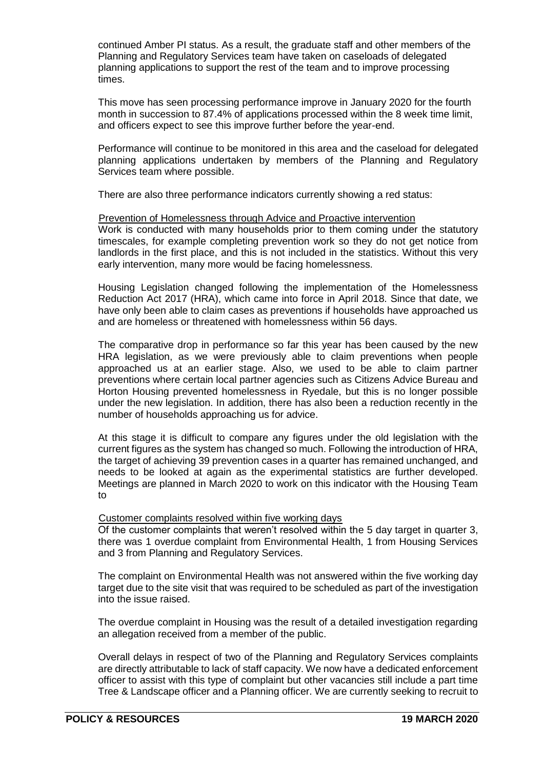continued Amber PI status. As a result, the graduate staff and other members of the Planning and Regulatory Services team have taken on caseloads of delegated planning applications to support the rest of the team and to improve processing times.

This move has seen processing performance improve in January 2020 for the fourth month in succession to 87.4% of applications processed within the 8 week time limit, and officers expect to see this improve further before the year-end.

Performance will continue to be monitored in this area and the caseload for delegated planning applications undertaken by members of the Planning and Regulatory Services team where possible.

There are also three performance indicators currently showing a red status:

### Prevention of Homelessness through Advice and Proactive intervention

Work is conducted with many households prior to them coming under the statutory timescales, for example completing prevention work so they do not get notice from landlords in the first place, and this is not included in the statistics. Without this very early intervention, many more would be facing homelessness.

Housing Legislation changed following the implementation of the Homelessness Reduction Act 2017 (HRA), which came into force in April 2018. Since that date, we have only been able to claim cases as preventions if households have approached us and are homeless or threatened with homelessness within 56 days.

The comparative drop in performance so far this year has been caused by the new HRA legislation, as we were previously able to claim preventions when people approached us at an earlier stage. Also, we used to be able to claim partner preventions where certain local partner agencies such as Citizens Advice Bureau and Horton Housing prevented homelessness in Ryedale, but this is no longer possible under the new legislation. In addition, there has also been a reduction recently in the number of households approaching us for advice.

At this stage it is difficult to compare any figures under the old legislation with the current figures as the system has changed so much. Following the introduction of HRA, the target of achieving 39 prevention cases in a quarter has remained unchanged, and needs to be looked at again as the experimental statistics are further developed. Meetings are planned in March 2020 to work on this indicator with the Housing Team to

## Customer complaints resolved within five working days

Of the customer complaints that weren't resolved within the 5 day target in quarter 3, there was 1 overdue complaint from Environmental Health, 1 from Housing Services and 3 from Planning and Regulatory Services.

The complaint on Environmental Health was not answered within the five working day target due to the site visit that was required to be scheduled as part of the investigation into the issue raised.

The overdue complaint in Housing was the result of a detailed investigation regarding an allegation received from a member of the public.

Overall delays in respect of two of the Planning and Regulatory Services complaints are directly attributable to lack of staff capacity. We now have a dedicated enforcement officer to assist with this type of complaint but other vacancies still include a part time Tree & Landscape officer and a Planning officer. We are currently seeking to recruit to